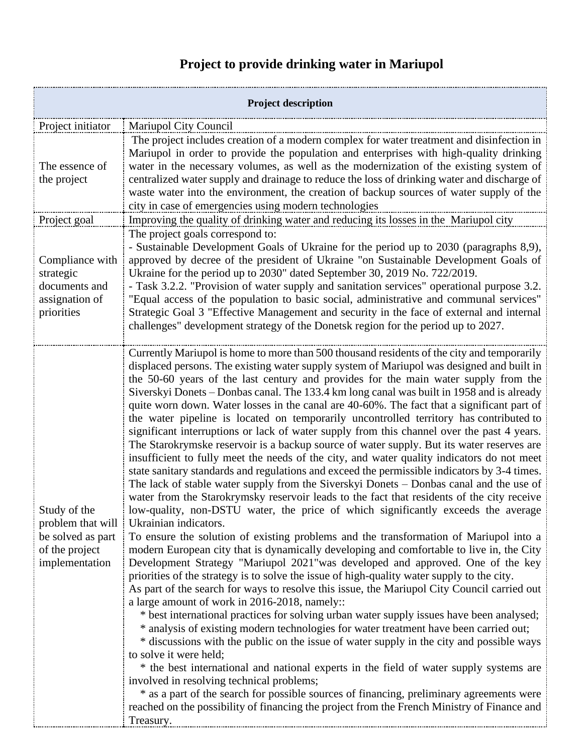## **Project to provide drinking water in Mariupol**

| <b>Project description</b>                                                                 |                                                                                                                                                                                                                                                                                                                                                                                                                                                                                                                                                                                                                                                                                                                                                                                                                                                                                                                                                                                                                                                                                                                                                                                                                                                                                                                                                                                                                                                                                                                                                                                                                                                                                                                                                                                                                                                                                                                                                                                                                                                                                                                                                                                                                                                                                                                                                                                                                                                     |  |
|--------------------------------------------------------------------------------------------|-----------------------------------------------------------------------------------------------------------------------------------------------------------------------------------------------------------------------------------------------------------------------------------------------------------------------------------------------------------------------------------------------------------------------------------------------------------------------------------------------------------------------------------------------------------------------------------------------------------------------------------------------------------------------------------------------------------------------------------------------------------------------------------------------------------------------------------------------------------------------------------------------------------------------------------------------------------------------------------------------------------------------------------------------------------------------------------------------------------------------------------------------------------------------------------------------------------------------------------------------------------------------------------------------------------------------------------------------------------------------------------------------------------------------------------------------------------------------------------------------------------------------------------------------------------------------------------------------------------------------------------------------------------------------------------------------------------------------------------------------------------------------------------------------------------------------------------------------------------------------------------------------------------------------------------------------------------------------------------------------------------------------------------------------------------------------------------------------------------------------------------------------------------------------------------------------------------------------------------------------------------------------------------------------------------------------------------------------------------------------------------------------------------------------------------------------------|--|
| Project initiator                                                                          | Mariupol City Council                                                                                                                                                                                                                                                                                                                                                                                                                                                                                                                                                                                                                                                                                                                                                                                                                                                                                                                                                                                                                                                                                                                                                                                                                                                                                                                                                                                                                                                                                                                                                                                                                                                                                                                                                                                                                                                                                                                                                                                                                                                                                                                                                                                                                                                                                                                                                                                                                               |  |
| The essence of<br>the project                                                              | The project includes creation of a modern complex for water treatment and disinfection in<br>Mariupol in order to provide the population and enterprises with high-quality drinking<br>water in the necessary volumes, as well as the modernization of the existing system of<br>centralized water supply and drainage to reduce the loss of drinking water and discharge of<br>waste water into the environment, the creation of backup sources of water supply of the<br>city in case of emergencies using modern technologies                                                                                                                                                                                                                                                                                                                                                                                                                                                                                                                                                                                                                                                                                                                                                                                                                                                                                                                                                                                                                                                                                                                                                                                                                                                                                                                                                                                                                                                                                                                                                                                                                                                                                                                                                                                                                                                                                                                    |  |
| Project goal                                                                               | Improving the quality of drinking water and reducing its losses in the Mariupol city                                                                                                                                                                                                                                                                                                                                                                                                                                                                                                                                                                                                                                                                                                                                                                                                                                                                                                                                                                                                                                                                                                                                                                                                                                                                                                                                                                                                                                                                                                                                                                                                                                                                                                                                                                                                                                                                                                                                                                                                                                                                                                                                                                                                                                                                                                                                                                |  |
| Compliance with<br>strategic<br>documents and<br>assignation of<br>priorities              | The project goals correspond to:<br>- Sustainable Development Goals of Ukraine for the period up to 2030 (paragraphs 8,9),<br>approved by decree of the president of Ukraine "on Sustainable Development Goals of<br>Ukraine for the period up to 2030" dated September 30, 2019 No. 722/2019.<br>- Task 3.2.2. "Provision of water supply and sanitation services" operational purpose 3.2.<br>"Equal access of the population to basic social, administrative and communal services"<br>Strategic Goal 3 "Effective Management and security in the face of external and internal<br>challenges" development strategy of the Donetsk region for the period up to 2027.                                                                                                                                                                                                                                                                                                                                                                                                                                                                                                                                                                                                                                                                                                                                                                                                                                                                                                                                                                                                                                                                                                                                                                                                                                                                                                                                                                                                                                                                                                                                                                                                                                                                                                                                                                             |  |
| Study of the<br>problem that will<br>be solved as part<br>of the project<br>implementation | Currently Mariupol is home to more than 500 thousand residents of the city and temporarily<br>displaced persons. The existing water supply system of Mariupol was designed and built in<br>the 50-60 years of the last century and provides for the main water supply from the<br>Siverskyi Donets – Donbas canal. The 133.4 km long canal was built in 1958 and is already<br>quite worn down. Water losses in the canal are 40-60%. The fact that a significant part of<br>the water pipeline is located on temporarily uncontrolled territory has contributed to<br>significant interruptions or lack of water supply from this channel over the past 4 years.<br>The Starokrymske reservoir is a backup source of water supply. But its water reserves are<br>insufficient to fully meet the needs of the city, and water quality indicators do not meet<br>state sanitary standards and regulations and exceed the permissible indicators by 3-4 times.<br>The lack of stable water supply from the Siverskyi Donets - Donbas canal and the use of<br>water from the Starokrymsky reservoir leads to the fact that residents of the city receive<br>low-quality, non-DSTU water, the price of which significantly exceeds the average<br>Ukrainian indicators.<br>To ensure the solution of existing problems and the transformation of Mariupol into a<br>modern European city that is dynamically developing and comfortable to live in, the City<br>Development Strategy "Mariupol 2021" was developed and approved. One of the key<br>priorities of the strategy is to solve the issue of high-quality water supply to the city.<br>As part of the search for ways to resolve this issue, the Mariupol City Council carried out<br>a large amount of work in 2016-2018, namely::<br>* best international practices for solving urban water supply issues have been analysed;<br>* analysis of existing modern technologies for water treatment have been carried out;<br>* discussions with the public on the issue of water supply in the city and possible ways<br>to solve it were held;<br>* the best international and national experts in the field of water supply systems are<br>involved in resolving technical problems;<br>* as a part of the search for possible sources of financing, preliminary agreements were<br>reached on the possibility of financing the project from the French Ministry of Finance and<br>Treasury. |  |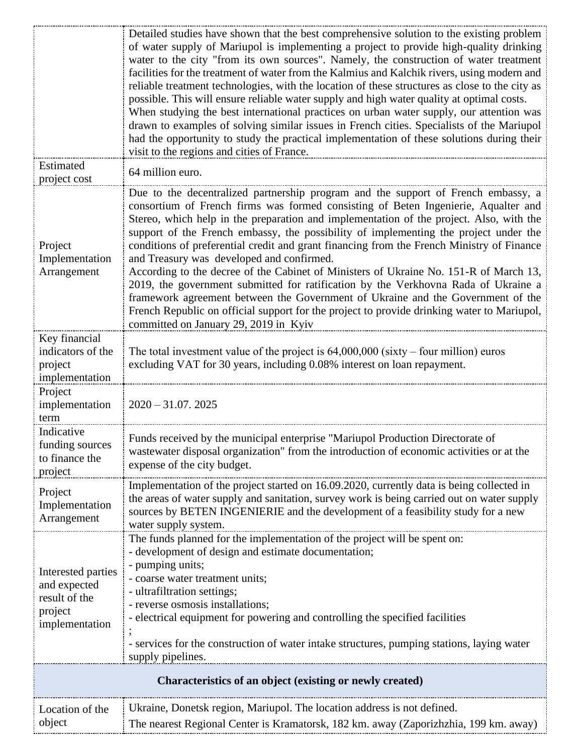|                                                                                  | Detailed studies have shown that the best comprehensive solution to the existing problem<br>of water supply of Mariupol is implementing a project to provide high-quality drinking<br>water to the city "from its own sources". Namely, the construction of water treatment<br>facilities for the treatment of water from the Kalmius and Kalchik rivers, using modern and<br>reliable treatment technologies, with the location of these structures as close to the city as<br>possible. This will ensure reliable water supply and high water quality at optimal costs.<br>When studying the best international practices on urban water supply, our attention was<br>drawn to examples of solving similar issues in French cities. Specialists of the Mariupol<br>had the opportunity to study the practical implementation of these solutions during their                                                |
|----------------------------------------------------------------------------------|---------------------------------------------------------------------------------------------------------------------------------------------------------------------------------------------------------------------------------------------------------------------------------------------------------------------------------------------------------------------------------------------------------------------------------------------------------------------------------------------------------------------------------------------------------------------------------------------------------------------------------------------------------------------------------------------------------------------------------------------------------------------------------------------------------------------------------------------------------------------------------------------------------------|
| Estimated<br>project cost                                                        | visit to the regions and cities of France.<br>64 million euro.                                                                                                                                                                                                                                                                                                                                                                                                                                                                                                                                                                                                                                                                                                                                                                                                                                                |
| Project<br>Implementation<br>Arrangement                                         | Due to the decentralized partnership program and the support of French embassy, a<br>consortium of French firms was formed consisting of Beten Ingenierie, Aqualter and<br>Stereo, which help in the preparation and implementation of the project. Also, with the<br>support of the French embassy, the possibility of implementing the project under the<br>conditions of preferential credit and grant financing from the French Ministry of Finance<br>and Treasury was developed and confirmed.<br>According to the decree of the Cabinet of Ministers of Ukraine No. 151-R of March 13,<br>2019, the government submitted for ratification by the Verkhovna Rada of Ukraine a<br>framework agreement between the Government of Ukraine and the Government of the<br>French Republic on official support for the project to provide drinking water to Mariupol,<br>committed on January 29, 2019 in Kyiv |
| Key financial<br>indicators of the<br>project<br>implementation                  | The total investment value of the project is $64,000,000$ (sixty – four million) euros<br>excluding VAT for 30 years, including 0.08% interest on loan repayment.                                                                                                                                                                                                                                                                                                                                                                                                                                                                                                                                                                                                                                                                                                                                             |
| Project<br>implementation<br>term                                                | $2020 - 31.07.2025$                                                                                                                                                                                                                                                                                                                                                                                                                                                                                                                                                                                                                                                                                                                                                                                                                                                                                           |
| Indicative<br>funding sources<br>to finance the<br>project                       | Funds received by the municipal enterprise "Mariupol Production Directorate of<br>wastewater disposal organization" from the introduction of economic activities or at the<br>expense of the city budget.                                                                                                                                                                                                                                                                                                                                                                                                                                                                                                                                                                                                                                                                                                     |
| Project<br>Implementation<br>Arrangement                                         | Implementation of the project started on 16.09.2020, currently data is being collected in<br>the areas of water supply and sanitation, survey work is being carried out on water supply<br>sources by BETEN INGENIERIE and the development of a feasibility study for a new<br>water supply system.                                                                                                                                                                                                                                                                                                                                                                                                                                                                                                                                                                                                           |
| Interested parties<br>and expected<br>result of the<br>project<br>implementation | The funds planned for the implementation of the project will be spent on:<br>- development of design and estimate documentation;<br>- pumping units;<br>- coarse water treatment units;<br>- ultrafiltration settings;<br>- reverse osmosis installations;<br>- electrical equipment for powering and controlling the specified facilities<br>- services for the construction of water intake structures, pumping stations, laying water<br>supply pipelines.                                                                                                                                                                                                                                                                                                                                                                                                                                                 |
| Characteristics of an object (existing or newly created)                         |                                                                                                                                                                                                                                                                                                                                                                                                                                                                                                                                                                                                                                                                                                                                                                                                                                                                                                               |
| Location of the<br>object                                                        | Ukraine, Donetsk region, Mariupol. The location address is not defined.<br>The nearest Regional Center is Kramatorsk, 182 km. away (Zaporizhzhia, 199 km. away)                                                                                                                                                                                                                                                                                                                                                                                                                                                                                                                                                                                                                                                                                                                                               |